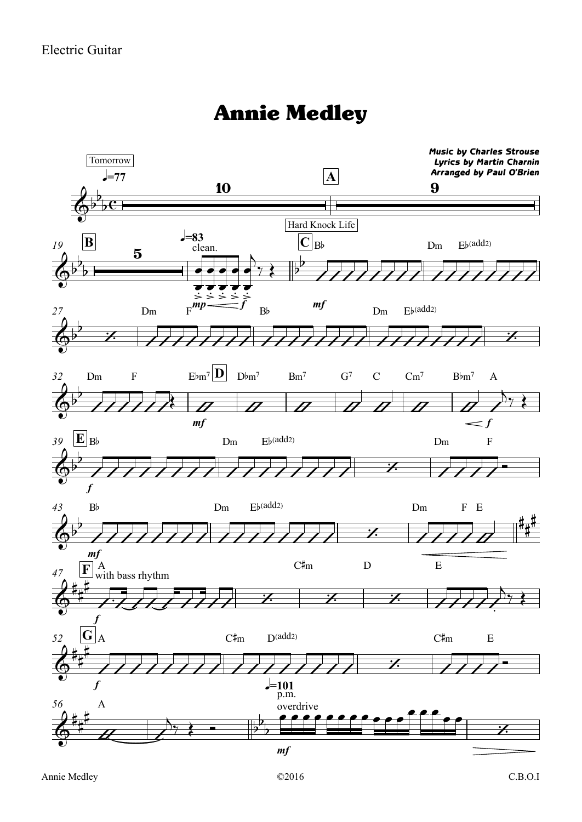## Annie Medley